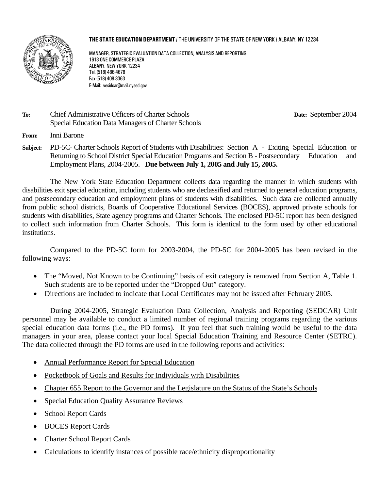#### **THE STATE EDUCATION DEPARTMENT** / THE UNIVERSITY OF THE STATE OF NEW YORK / ALBANY, NY 12234



MANAGER, STRATEGIC EVALUATION DATA COLLECTION, ANALYSIS AND REPORTING 1613 ONE COMMERCE PLAZA ALBANY, NEW YORK 12234 Tel. (518) 486-4678 Fax (518) 408-3363 E-Mail: vesidcar@mail.nysed.gov

#### **To:** Chief Administrative Officers of Charter Schools **Date:** September 2004 Special Education Data Managers of Charter Schools

**From:** Inni Barone

**Subject:** PD-5C- Charter Schools Report of Students with Disabilities: Section A - Exiting Special Education or Returning to School District Special Education Programs and Section B - Postsecondary Education and Employment Plans, 2004-2005. **Due between July 1, 2005 and July 15, 2005.**

The New York State Education Department collects data regarding the manner in which students with disabilities exit special education, including students who are declassified and returned to general education programs, and postsecondary education and employment plans of students with disabilities. Such data are collected annually from public school districts, Boards of Cooperative Educational Services (BOCES), approved private schools for students with disabilities, State agency programs and Charter Schools. The enclosed PD-5C report has been designed to collect such information from Charter Schools. This form is identical to the form used by other educational institutions.

Compared to the PD-5C form for 2003-2004, the PD-5C for 2004-2005 has been revised in the following ways:

- The "Moved, Not Known to be Continuing" basis of exit category is removed from Section A, Table 1. Such students are to be reported under the "Dropped Out" category.
- Directions are included to indicate that Local Certificates may not be issued after February 2005.

During 2004-2005, Strategic Evaluation Data Collection, Analysis and Reporting (SEDCAR) Unit personnel may be available to conduct a limited number of regional training programs regarding the various special education data forms (i.e., the PD forms). If you feel that such training would be useful to the data managers in your area, please contact your local Special Education Training and Resource Center (SETRC). The data collected through the PD forms are used in the following reports and activities:

- Annual Performance Report for Special Education
- Pocketbook of Goals and Results for Individuals with Disabilities
- Chapter 655 Report to the Governor and the Legislature on the Status of the State's Schools
- Special Education Quality Assurance Reviews
- School Report Cards
- BOCES Report Cards
- Charter School Report Cards
- Calculations to identify instances of possible race/ethnicity disproportionality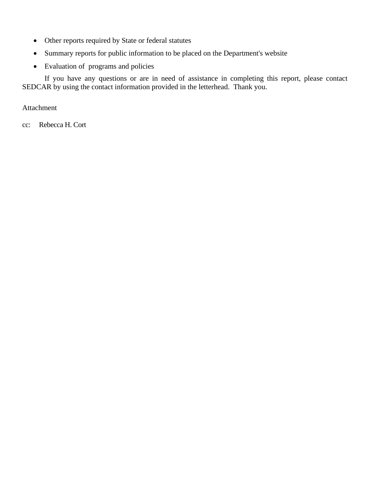- Other reports required by State or federal statutes
- Summary reports for public information to be placed on the Department's website
- Evaluation of programs and policies

If you have any questions or are in need of assistance in completing this report, please contact SEDCAR by using the contact information provided in the letterhead. Thank you.

Attachment

cc: Rebecca H. Cort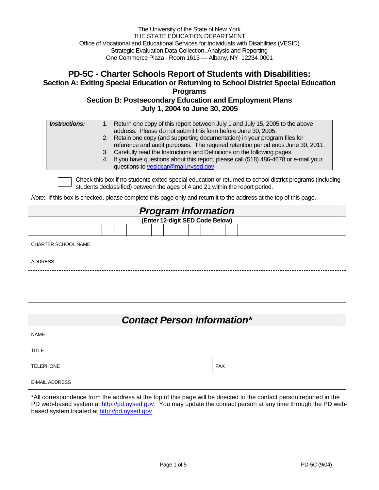The University of the State of New York THE STATE EDUCATION DEPARTMENT Office of Vocational and Educational Services for Individuals with Disabilities (VESID) Strategic Evaluation Data Collection, Analysis and Reporting One Commerce Plaza - Room 1613 — Albany, NY 12234-0001

### **PD-5C - Charter Schools Report of Students with Disabilities: Section A: Exiting Special Education or Returning to School District Special Education Programs Section B: Postsecondary Education and Employment Plans July 1, 2004 to June 30, 2005**

| questions to vesidcar@mail.nysed.gov | <b>Instructions:</b> | 1. Return one copy of this report between July 1 and July 15, 2005 to the above<br>address. Please do not submit this form before June 30, 2005.<br>2. Retain one copy (and supporting documentation) in your program files for<br>reference and audit purposes. The required retention period ends June 30, 2011.<br>3. Carefully read the Instructions and Definitions on the following pages.<br>4. If you have questions about this report, please call (518) 486-4678 or e-mail your |
|--------------------------------------|----------------------|-------------------------------------------------------------------------------------------------------------------------------------------------------------------------------------------------------------------------------------------------------------------------------------------------------------------------------------------------------------------------------------------------------------------------------------------------------------------------------------------|
|--------------------------------------|----------------------|-------------------------------------------------------------------------------------------------------------------------------------------------------------------------------------------------------------------------------------------------------------------------------------------------------------------------------------------------------------------------------------------------------------------------------------------------------------------------------------------|

Check this box if no students exited special education or returned to school district programs (including students declassified) between the ages of 4 and 21 within the report period.

*Note*: If this box is checked, please complete this page only and return it to the address at the top of this page.

| <b>Program Information</b><br>(Enter 12-digit SED Code Below) |  |  |  |  |  |  |  |  |  |  |  |  |
|---------------------------------------------------------------|--|--|--|--|--|--|--|--|--|--|--|--|
|                                                               |  |  |  |  |  |  |  |  |  |  |  |  |
|                                                               |  |  |  |  |  |  |  |  |  |  |  |  |
| CHARTER SCHOOL NAME                                           |  |  |  |  |  |  |  |  |  |  |  |  |
| <b>ADDRESS</b>                                                |  |  |  |  |  |  |  |  |  |  |  |  |
|                                                               |  |  |  |  |  |  |  |  |  |  |  |  |
|                                                               |  |  |  |  |  |  |  |  |  |  |  |  |

| <b>Contact Person Information*</b> |            |  |  |  |  |  |  |  |
|------------------------------------|------------|--|--|--|--|--|--|--|
| <b>NAME</b>                        |            |  |  |  |  |  |  |  |
| <b>TITLE</b>                       |            |  |  |  |  |  |  |  |
| <b>TELEPHONE</b>                   | <b>FAX</b> |  |  |  |  |  |  |  |
| <b>E-MAIL ADDRESS</b>              |            |  |  |  |  |  |  |  |

\*All correspondence from the address at the top of this page will be directed to the contact person reported in the PD web-based system at http://pd.nysed.gov. You may update the contact person at any time through the PD webbased system located at http://pd.nysed.gov.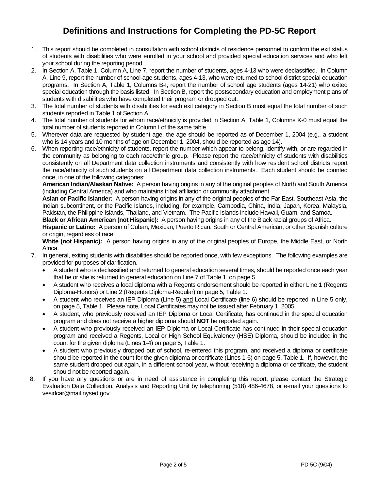## **Definitions and Instructions for Completing the PD-5C Report**

- 1. This report should be completed in consultation with school districts of residence personnel to confirm the exit status of students with disabilities who were enrolled in your school and provided special education services and who left your school during the reporting period.
- 2. In Section A, Table 1, Column A, Line 7, report the number of students, ages 4-13 who were declassified. In Column A, Line 9, report the number of school-age students, ages 4-13, who were returned to school district special education programs. In Section A, Table 1, Columns B-I, report the number of school age students (ages 14-21) who exited special education through the basis listed. In Section B, report the postsecondary education and employment plans of students with disabilities who have completed their program or dropped out.
- 3. The total number of students with disabilities for each exit category in Section B must equal the total number of such students reported in Table 1 of Section A.
- 4. The total number of students for whom race/ethnicity is provided in Section A, Table 1, Columns K-0 must equal the total number of students reported in Column I of the same table.
- 5. Wherever data are requested by student age, the age should be reported as of December 1, 2004 (e.g., a student who is 14 years and 10 months of age on December 1, 2004, should be reported as age 14).
- 6. When reporting race/ethnicity of students, report the number which appear to belong, identify with, or are regarded in the community as belonging to each race/ethnic group. Please report the race/ethnicity of students with disabilities consistently on all Department data collection instruments and consistently with how resident school districts report the race/ethnicity of such students on all Department data collection instruments. Each student should be counted once, in one of the following categories:

**American Indian/Alaskan Native:** A person having origins in any of the original peoples of North and South America (including Central America) and who maintains tribal affiliation or community attachment.

**Asian or Pacific Islander:** A person having origins in any of the original peoples of the Far East, Southeast Asia, the Indian subcontinent, or the Pacific Islands, including, for example, Cambodia, China, India, Japan, Korea, Malaysia, Pakistan, the Philippine Islands, Thailand, and Vietnam. The Pacific Islands include Hawaii, Guam, and Samoa.

**Black or African American (not Hispanic):** A person having origins in any of the Black racial groups of Africa.

**Hispanic or Latino:** A person of Cuban, Mexican, Puerto Rican, South or Central American, or other Spanish culture or origin, regardless of race.

**White (not Hispanic):** A person having origins in any of the original peoples of Europe, the Middle East, or North Africa.

- 7. In general, exiting students with disabilities should be reported once, with few exceptions. The following examples are provided for purposes of clarification.
	- A student who is declassified and returned to general education several times, should be reported once each year that he or she is returned to general education on Line 7 of Table 1, on page 5.
	- A student who receives a local diploma with a Regents endorsement should be reported in either Line 1 (Regents Diploma-Honors) or Line 2 (Regents Diploma-Regular) on page 5, Table 1.
	- A student who receives an IEP Diploma (Line 5) and Local Certificate (line 6) should be reported in Line 5 only, on page 5, Table 1. Please note, Local Certificates may not be issued after February 1, 2005.
	- A student, who previously received an IEP Diploma or Local Certificate, has continued in the special education program and does not receive a higher diploma should **NOT** be reported again.
	- A student who previously received an IEP Diploma or Local Certificate has continued in their special education program and received a Regents, Local or High School Equivalency (HSE) Diploma, should be included in the count for the given diploma (Lines 1-4) on page 5, Table 1.
	- A student who previously dropped out of school, re-entered this program, and received a diploma or certificate should be reported in the count for the given diploma or certificate (Lines 1-6) on page 5, Table 1. If, however, the same student dropped out again, in a different school year, without receiving a diploma or certificate, the student should not be reported again.
- 8. If you have any questions or are in need of assistance in completing this report, please contact the Strategic Evaluation Data Collection, Analysis and Reporting Unit by telephoning (518) 486-4678, or e-mail your questions to vesidcar@mail.nysed.gov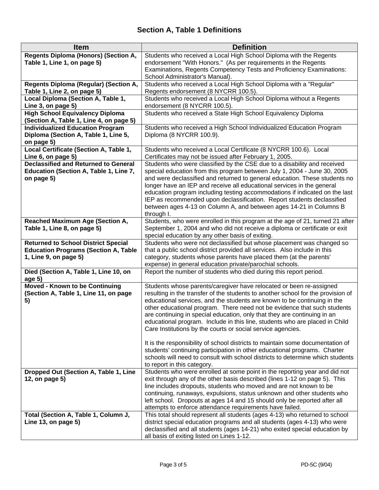| <b>Item</b>                                        | <b>Definition</b>                                                                                                                                |
|----------------------------------------------------|--------------------------------------------------------------------------------------------------------------------------------------------------|
| Regents Diploma (Honors) (Section A,               | Students who received a Local High School Diploma with the Regents                                                                               |
| Table 1, Line 1, on page 5)                        | endorsement "With Honors." (As per requirements in the Regents                                                                                   |
|                                                    | Examinations, Regents Competency Tests and Proficiency Examinations:                                                                             |
|                                                    | School Administrator's Manual).                                                                                                                  |
| Regents Diploma (Regular) (Section A,              | Students who received a Local High School Diploma with a "Regular"                                                                               |
| Table 1, Line 2, on page 5)                        | Regents endorsement (8 NYCRR 100.5).                                                                                                             |
| Local Diploma (Section A, Table 1,                 | Students who received a Local High School Diploma without a Regents                                                                              |
| Line 3, on page 5)                                 | endorsement (8 NYCRR 100.5).                                                                                                                     |
| <b>High School Equivalency Diploma</b>             | Students who received a State High School Equivalency Diploma                                                                                    |
| (Section A, Table 1, Line 4, on page 5)            |                                                                                                                                                  |
| <b>Individualized Education Program</b>            | Students who received a High School Individualized Education Program                                                                             |
| Diploma (Section A, Table 1, Line 5,<br>on page 5) | Diploma (8 NYCRR 100.9).                                                                                                                         |
| Local Certificate (Section A, Table 1,             | Students who received a Local Certificate (8 NYCRR 100.6). Local                                                                                 |
| Line 6, on page 5)                                 | Certificates may not be issued after February 1, 2005.                                                                                           |
| <b>Declassified and Returned to General</b>        | Students who were classified by the CSE due to a disability and received                                                                         |
| Education (Section A, Table 1, Line 7,             | special education from this program between July 1, 2004 - June 30, 2005                                                                         |
| on page 5)                                         | and were declassified and returned to general education. These students no                                                                       |
|                                                    | longer have an IEP and receive all educational services in the general                                                                           |
|                                                    | education program including testing accommodations if indicated on the last                                                                      |
|                                                    | IEP as recommended upon declassification. Report students declassified                                                                           |
|                                                    | between ages 4-13 on Column A, and between ages 14-21 in Columns B                                                                               |
|                                                    | through I.                                                                                                                                       |
| <b>Reached Maximum Age (Section A,</b>             | Students, who were enrolled in this program at the age of 21, turned 21 after                                                                    |
| Table 1, Line 8, on page 5)                        | September 1, 2004 and who did not receive a diploma or certificate or exit                                                                       |
|                                                    | special education by any other basis of exiting.                                                                                                 |
| <b>Returned to School District Special</b>         | Students who were not declassified but whose placement was changed so                                                                            |
| <b>Education Programs (Section A, Table</b>        | that a public school district provided all services. Also include in this                                                                        |
| 1, Line 9, on page 5)                              | category, students whose parents have placed them (at the parents'                                                                               |
|                                                    | expense) in general education private/parochial schools.                                                                                         |
| Died (Section A, Table 1, Line 10, on              | Report the number of students who died during this report period.                                                                                |
| age $5)$<br>Moved - Known to be Continuing         | Students whose parents/caregiver have relocated or been re-assigned                                                                              |
| (Section A, Table 1, Line 11, on page              | resulting in the transfer of the students to another school for the provision of                                                                 |
| 5)                                                 | educational services, and the students are known to be continuing in the                                                                         |
|                                                    | other educational program. There need not be evidence that such students                                                                         |
|                                                    | are continuing in special education, only that they are continuing in an                                                                         |
|                                                    | educational program. Include in this line, students who are placed in Child                                                                      |
|                                                    | Care Institutions by the courts or social service agencies.                                                                                      |
|                                                    |                                                                                                                                                  |
|                                                    | It is the responsibility of school districts to maintain some documentation of                                                                   |
|                                                    | students' continuing participation in other educational programs. Charter                                                                        |
|                                                    | schools will need to consult with school districts to determine which students                                                                   |
|                                                    | to report in this category.                                                                                                                      |
| Dropped Out (Section A, Table 1, Line              | Students who were enrolled at some point in the reporting year and did not                                                                       |
| 12, on page 5)                                     | exit through any of the other basis described (lines 1-12 on page 5). This<br>line includes dropouts, students who moved and are not known to be |
|                                                    | continuing, runaways, expulsions, status unknown and other students who                                                                          |
|                                                    | left school. Dropouts at ages 14 and 15 should only be reported after all                                                                        |
|                                                    | attempts to enforce attendance requirements have failed.                                                                                         |
| Total (Section A, Table 1, Column J,               | This total should represent all students (ages 4-13) who returned to school                                                                      |
| Line 13, on page 5)                                | district special education programs and all students (ages 4-13) who were                                                                        |
|                                                    | declassified and all students (ages 14-21) who exited special education by                                                                       |
|                                                    | all basis of exiting listed on Lines 1-12.                                                                                                       |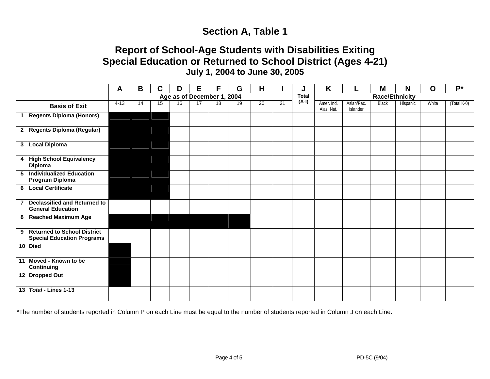# **Section A, Table 1**

# **Report of School-Age Students with Disabilities Exiting Special Education or Returned to School District (Ages 4-21) July 1, 2004 to June 30, 2005**

|                                                                    | Α                          | $\mathbf B$ | C  | D  | E  | F  | G  | Н  |    |              | K                        |                        | M            | N        | $\mathbf O$ | $P^*$         |
|--------------------------------------------------------------------|----------------------------|-------------|----|----|----|----|----|----|----|--------------|--------------------------|------------------------|--------------|----------|-------------|---------------|
|                                                                    | Age as of December 1, 2004 |             |    |    |    |    |    |    |    | <b>Total</b> | <b>Race/Ethnicity</b>    |                        |              |          |             |               |
| <b>Basis of Exit</b>                                               | $4 - 13$                   | 14          | 15 | 16 | 17 | 18 | 19 | 20 | 21 | $(A-I)$      | Amer. Ind.<br>Alas. Nat. | Asian/Pac.<br>Islander | <b>Black</b> | Hispanic | White       | $(Total K-0)$ |
| 1 Regents Diploma (Honors)                                         |                            |             |    |    |    |    |    |    |    |              |                          |                        |              |          |             |               |
| 2 Regents Diploma (Regular)                                        |                            |             |    |    |    |    |    |    |    |              |                          |                        |              |          |             |               |
| 3 Local Diploma                                                    |                            |             |    |    |    |    |    |    |    |              |                          |                        |              |          |             |               |
| 4 High School Equivalency<br><b>Diploma</b>                        |                            |             |    |    |    |    |    |    |    |              |                          |                        |              |          |             |               |
| 5  Individualized Education<br><b>Program Diploma</b>              |                            |             |    |    |    |    |    |    |    |              |                          |                        |              |          |             |               |
| 6   Local Certificate                                              |                            |             |    |    |    |    |    |    |    |              |                          |                        |              |          |             |               |
| 7 Declassified and Returned to<br><b>General Education</b>         |                            |             |    |    |    |    |    |    |    |              |                          |                        |              |          |             |               |
| 8 Reached Maximum Age                                              |                            |             |    |    |    |    |    |    |    |              |                          |                        |              |          |             |               |
| 9 Returned to School District<br><b>Special Education Programs</b> |                            |             |    |    |    |    |    |    |    |              |                          |                        |              |          |             |               |
| 10 Died                                                            |                            |             |    |    |    |    |    |    |    |              |                          |                        |              |          |             |               |
| 11 Moved - Known to be<br><b>Continuing</b>                        |                            |             |    |    |    |    |    |    |    |              |                          |                        |              |          |             |               |
| 12 Dropped Out                                                     |                            |             |    |    |    |    |    |    |    |              |                          |                        |              |          |             |               |
| 13 Total - Lines 1-13                                              |                            |             |    |    |    |    |    |    |    |              |                          |                        |              |          |             |               |

\*The number of students reported in Column P on each Line must be equal to the number of students reported in Column J on each Line.